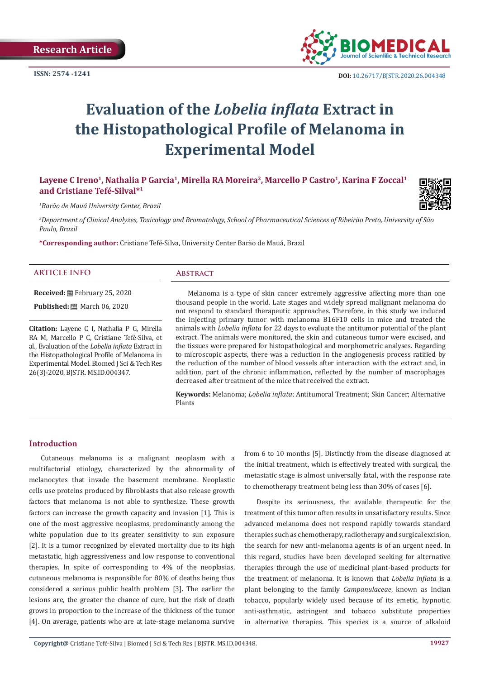

# **Evaluation of the** *Lobelia inflata* **Extract in the Histopathological Profile of Melanoma in Experimental Model**

**Layene C Ireno1, Nathalia P Garcia1, Mirella RA Moreira<sup>2</sup>, Marcello P Castro1, Karina F Zoccal1 and Cristiane Tefé-Silval\*<sup>1</sup>**

*1 Barão de Mauá University Center, Brazil*

*2 Department of Clinical Analyzes, Toxicology and Bromatology, School of Pharmaceutical Sciences of Ribeirão Preto, University of São Paulo, Brazil*

**\*Corresponding author:** Cristiane Tefé-Silva, University Center Barão de Mauá, Brazil

#### **ARTICLE INFO Abstract**

**Received:** February 25, 2020 **Published:** ■ March 06, 2020

**Citation:** Layene C I, Nathalia P G, Mirella RA M, Marcello P C, Cristiane Tefé-Silva, et al., Evaluation of the *Lobelia inflata* Extract in the Histopathological Profile of Melanoma in Experimental Model. Biomed J Sci & Tech Res 26(3)-2020. BJSTR. MS.ID.004347.

Melanoma is a type of skin cancer extremely aggressive affecting more than one thousand people in the world. Late stages and widely spread malignant melanoma do not respond to standard therapeutic approaches. Therefore, in this study we induced the injecting primary tumor with melanoma B16F10 cells in mice and treated the animals with *Lobelia inflata* for 22 days to evaluate the antitumor potential of the plant extract. The animals were monitored, the skin and cutaneous tumor were excised, and the tissues were prepared for histopathological and morphometric analyses. Regarding to microscopic aspects, there was a reduction in the angiogenesis process ratified by the reduction of the number of blood vessels after interaction with the extract and, in addition, part of the chronic inflammation, reflected by the number of macrophages decreased after treatment of the mice that received the extract.

**Keywords:** Melanoma; *Lobelia inflata*; Antitumoral Treatment; Skin Cancer; Alternative Plants

# **Introduction**

Cutaneous melanoma is a malignant neoplasm with a multifactorial etiology, characterized by the abnormality of melanocytes that invade the basement membrane. Neoplastic cells use proteins produced by fibroblasts that also release growth factors that melanoma is not able to synthesize. These growth factors can increase the growth capacity and invasion [1]. This is one of the most aggressive neoplasms, predominantly among the white population due to its greater sensitivity to sun exposure [2]. It is a tumor recognized by elevated mortality due to its high metastatic, high aggressiveness and low response to conventional therapies. In spite of corresponding to 4% of the neoplasias, cutaneous melanoma is responsible for 80% of deaths being thus considered a serious public health problem [3]. The earlier the lesions are, the greater the chance of cure, but the risk of death grows in proportion to the increase of the thickness of the tumor [4]. On average, patients who are at late-stage melanoma survive

from 6 to 10 months [5]. Distinctly from the disease diagnosed at the initial treatment, which is effectively treated with surgical, the metastatic stage is almost universally fatal, with the response rate to chemotherapy treatment being less than 30% of cases [6].

Despite its seriousness, the available therapeutic for the treatment of this tumor often results in unsatisfactory results. Since advanced melanoma does not respond rapidly towards standard therapies such as chemotherapy, radiotherapy and surgical excision, the search for new anti-melanoma agents is of an urgent need. In this regard, studies have been developed seeking for alternative therapies through the use of medicinal plant-based products for the treatment of melanoma. It is known that *Lobelia inflata* is a plant belonging to the family *Campanulaceae*, known as Indian tobacco, popularly widely used because of its emetic, hypnotic, anti-asthmatic, astringent and tobacco substitute properties in alternative therapies. This species is a source of alkaloid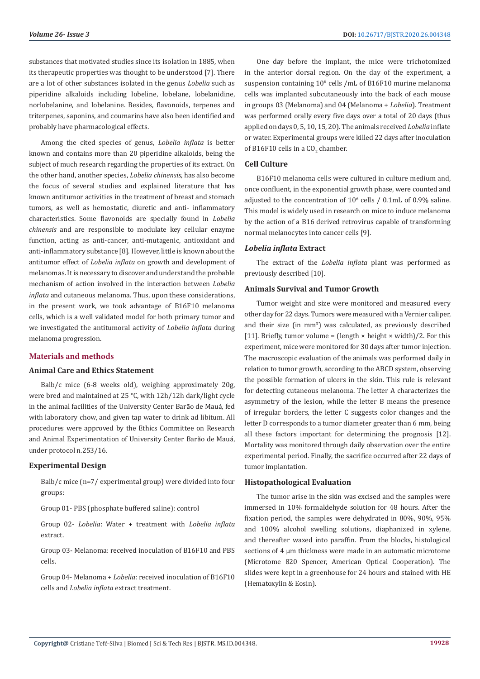substances that motivated studies since its isolation in 1885, when its therapeutic properties was thought to be understood [7]. There are a lot of other substances isolated in the genus *Lobelia* such as piperidine alkaloids including lobeline, lobelane, lobelanidine, norlobelanine, and lobelanine. Besides, flavonoids, terpenes and triterpenes, saponins, and coumarins have also been identified and probably have pharmacological effects.

Among the cited species of genus, *Lobelia inflata* is better known and contains more than 20 piperidine alkaloids, being the subject of much research regarding the properties of its extract. On the other hand, another species, *Lobelia chinensis*, has also become the focus of several studies and explained literature that has known antitumor activities in the treatment of breast and stomach tumors, as well as hemostatic, diuretic and anti- inflammatory characteristics. Some flavonoids are specially found in *Lobelia chinensis* and are responsible to modulate key cellular enzyme function, acting as anti-cancer, anti-mutagenic, antioxidant and anti-inflammatory substance [8]. However, little is known about the antitumor effect of *Lobelia inflata* on growth and development of melanomas. It is necessary to discover and understand the probable mechanism of action involved in the interaction between *Lobelia inflata* and cutaneous melanoma. Thus, upon these considerations, in the present work, we took advantage of B16F10 melanoma cells, which is a well validated model for both primary tumor and we investigated the antitumoral activity of *Lobelia inflata* during melanoma progression.

# **Materials and methods**

# **Animal Care and Ethics Statement**

Balb/c mice (6-8 weeks old), weighing approximately 20g, were bred and maintained at 25 ℃, with 12h/12h dark/light cycle in the animal facilities of the University Center Barão de Mauá, fed with laboratory chow, and given tap water to drink ad libitum. All procedures were approved by the Ethics Committee on Research and Animal Experimentation of University Center Barão de Mauá, under protocol n.253/16.

# **Experimental Design**

Balb/c mice (n=7/ experimental group) were divided into four groups:

Group 01- PBS (phosphate buffered saline): control

Group 02- *Lobelia*: Water + treatment with *Lobelia inflata* extract.

Group 03- Melanoma: received inoculation of B16F10 and PBS cells.

Group 04- Melanoma + *Lobelia*: received inoculation of B16F10 cells and *Lobelia inflata* extract treatment.

One day before the implant, the mice were trichotomized in the anterior dorsal region. On the day of the experiment, a suspension containing 10<sup>6</sup> cells /mL of B16F10 murine melanoma cells was implanted subcutaneously into the back of each mouse in groups 03 (Melanoma) and 04 (Melanoma + *Lobelia*). Treatment was performed orally every five days over a total of 20 days (thus applied on days 0, 5, 10, 15, 20). The animals received *Lobelia* inflate or water. Experimental groups were killed 22 days after inoculation of B16F10 cells in a  $\text{CO}_2$  chamber.

#### **Cell Culture**

B16F10 melanoma cells were cultured in culture medium and, once confluent, in the exponential growth phase, were counted and adjusted to the concentration of  $10^6$  cells / 0.1mL of 0.9% saline. This model is widely used in research on mice to induce melanoma by the action of a B16 derived retrovirus capable of transforming normal melanocytes into cancer cells [9].

#### *Lobelia inflata* **Extract**

The extract of the *Lobelia inflata* plant was performed as previously described [10].

#### **Animals Survival and Tumor Growth**

Tumor weight and size were monitored and measured every other day for 22 days. Tumors were measured with a Vernier caliper, and their size (in mm<sup>3</sup>) was calculated, as previously described [11]. Briefly, tumor volume = (length  $\times$  height  $\times$  width)/2. For this experiment, mice were monitored for 30 days after tumor injection. The macroscopic evaluation of the animals was performed daily in relation to tumor growth, according to the ABCD system, observing the possible formation of ulcers in the skin. This rule is relevant for detecting cutaneous melanoma. The letter A characterizes the asymmetry of the lesion, while the letter B means the presence of irregular borders, the letter C suggests color changes and the letter D corresponds to a tumor diameter greater than 6 mm, being all these factors important for determining the prognosis [12]. Mortality was monitored through daily observation over the entire experimental period. Finally, the sacrifice occurred after 22 days of tumor implantation.

# **Histopathological Evaluation**

The tumor arise in the skin was excised and the samples were immersed in 10% formaldehyde solution for 48 hours. After the fixation period, the samples were dehydrated in 80%, 90%, 95% and 100% alcohol swelling solutions, diaphanized in xylene, and thereafter waxed into paraffin. From the blocks, histological sections of 4 μm thickness were made in an automatic microtome (Microtome 820 Spencer, American Optical Cooperation). The slides were kept in a greenhouse for 24 hours and stained with HE (Hematoxylin & Eosin).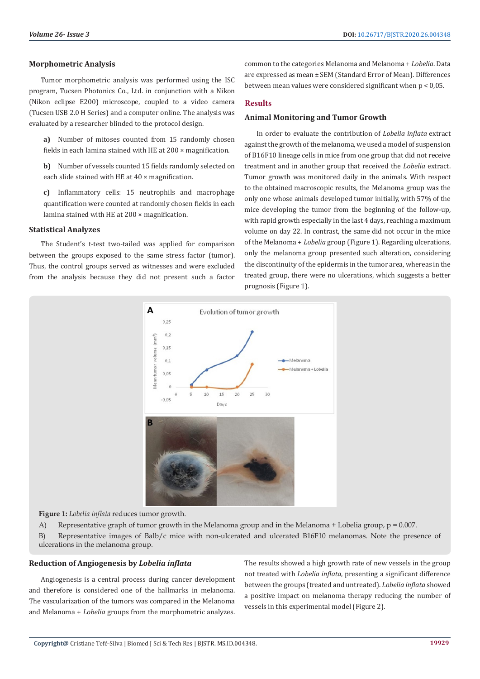# **Morphometric Analysis**

Tumor morphometric analysis was performed using the ISC program, Tucsen Photonics Co., Ltd. in conjunction with a Nikon (Nikon eclipse E200) microscope, coupled to a video camera (Tucsen USB 2.0 H Series) and a computer online. The analysis was evaluated by a researcher blinded to the protocol design.

**a)** Number of mitoses counted from 15 randomly chosen fields in each lamina stained with HE at 200 × magnification.

**b)** Number of vessels counted 15 fields randomly selected on each slide stained with HE at 40 × magnification.

**c)** Inflammatory cells: 15 neutrophils and macrophage quantification were counted at randomly chosen fields in each lamina stained with HE at 200 × magnification.

## **Statistical Analyzes**

The Student's t-test two-tailed was applied for comparison between the groups exposed to the same stress factor (tumor). Thus, the control groups served as witnesses and were excluded from the analysis because they did not present such a factor common to the categories Melanoma and Melanoma + *Lobelia*. Data are expressed as mean ± SEM (Standard Error of Mean). Differences between mean values were considered significant when p < 0,05.

## **Results**

# **Animal Monitoring and Tumor Growth**

In order to evaluate the contribution of *Lobelia inflata* extract against the growth of the melanoma, we used a model of suspension of B16F10 lineage cells in mice from one group that did not receive treatment and in another group that received the *Lobelia* extract. Tumor growth was monitored daily in the animals. With respect to the obtained macroscopic results, the Melanoma group was the only one whose animals developed tumor initially, with 57% of the mice developing the tumor from the beginning of the follow-up, with rapid growth especially in the last 4 days, reaching a maximum volume on day 22. In contrast, the same did not occur in the mice of the Melanoma + *Lobelia* group (Figure 1). Regarding ulcerations, only the melanoma group presented such alteration, considering the discontinuity of the epidermis in the tumor area, whereas in the treated group, there were no ulcerations, which suggests a better prognosis (Figure 1).



**Figure 1:** *Lobelia inflata* reduces tumor growth.

A) Representative graph of tumor growth in the Melanoma group and in the Melanoma + Lobelia group,  $p = 0.007$ .

B) Representative images of Balb/c mice with non-ulcerated and ulcerated B16F10 melanomas. Note the presence of ulcerations in the melanoma group.

# **Reduction of Angiogenesis by** *Lobelia inflata*

Angiogenesis is a central process during cancer development and therefore is considered one of the hallmarks in melanoma. The vascularization of the tumors was compared in the Melanoma and Melanoma + *Lobelia* groups from the morphometric analyzes.

The results showed a high growth rate of new vessels in the group not treated with *Lobelia inflata*, presenting a significant difference between the groups (treated and untreated). *Lobelia inflata* showed a positive impact on melanoma therapy reducing the number of vessels in this experimental model (Figure 2).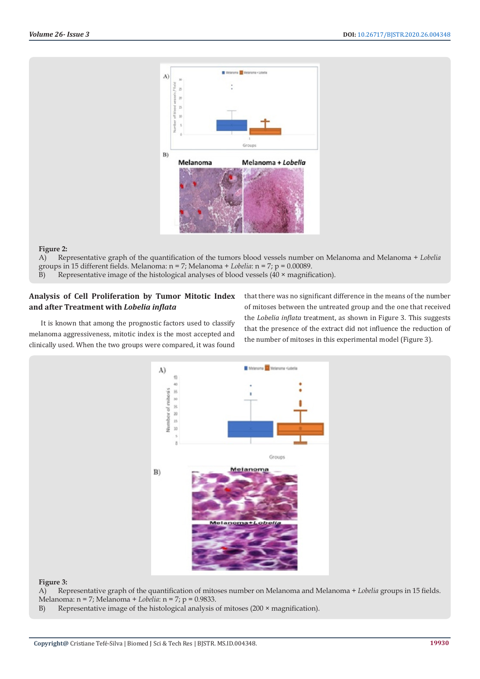

#### **Figure 2:**

A) Representative graph of the quantification of the tumors blood vessels number on Melanoma and Melanoma + *Lobelia* groups in 15 different fields. Melanoma: n = 7; Melanoma + *Lobelia*: n = 7; p = 0.00089.

B) Representative image of the histological analyses of blood vessels  $(40 \times$  magnification).

# **Analysis of Cell Proliferation by Tumor Mitotic Index and after Treatment with** *Lobelia inflata*

It is known that among the prognostic factors used to classify melanoma aggressiveness, mitotic index is the most accepted and clinically used. When the two groups were compared, it was found that there was no significant difference in the means of the number of mitoses between the untreated group and the one that received the *Lobelia inflata* treatment, as shown in Figure 3. This suggests that the presence of the extract did not influence the reduction of the number of mitoses in this experimental model (Figure 3).



#### **Figure 3:**

A) Representative graph of the quantification of mitoses number on Melanoma and Melanoma + *Lobelia* groups in 15 fields. Melanoma: n = 7; Melanoma + *Lobelia*: n = 7; p = 0.9833.

B) Representative image of the histological analysis of mitoses  $(200 \times$  magnification).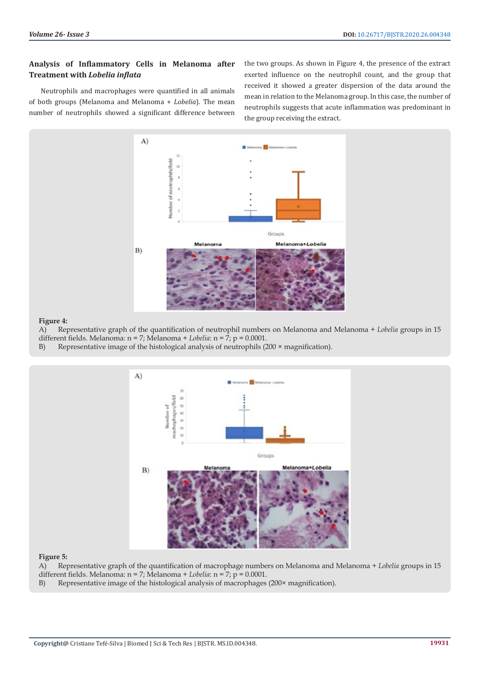# **Analysis of Inflammatory Cells in Melanoma after Treatment with** *Lobelia inflata*

Neutrophils and macrophages were quantified in all animals of both groups (Melanoma and Melanoma + *Lobelia*). The mean number of neutrophils showed a significant difference between the two groups. As shown in Figure 4, the presence of the extract exerted influence on the neutrophil count, and the group that received it showed a greater dispersion of the data around the mean in relation to the Melanoma group. In this case, the number of neutrophils suggests that acute inflammation was predominant in the group receiving the extract.



## **Figure 4:**

A) Representative graph of the quantification of neutrophil numbers on Melanoma and Melanoma + *Lobelia* groups in 15 different fields. Melanoma: n = 7; Melanoma + *Lobelia*: n = 7; p = 0.0001.

B) Representative image of the histological analysis of neutrophils (200 × magnification).



# **Figure 5:**

A) Representative graph of the quantification of macrophage numbers on Melanoma and Melanoma + *Lobelia* groups in 15 different fields. Melanoma: n = 7; Melanoma + *Lobelia*: n = 7; p = 0.0001.

B) Representative image of the histological analysis of macrophages (200× magnification).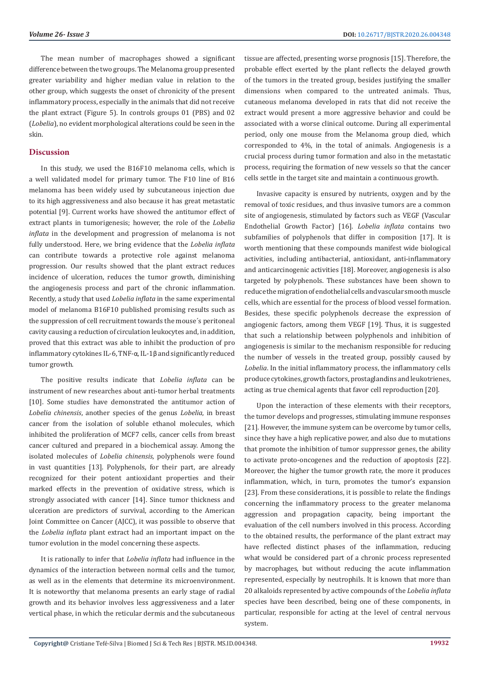The mean number of macrophages showed a significant difference between the two groups. The Melanoma group presented greater variability and higher median value in relation to the other group, which suggests the onset of chronicity of the present inflammatory process, especially in the animals that did not receive the plant extract (Figure 5). In controls groups 01 (PBS) and 02 (*Lobelia*), no evident morphological alterations could be seen in the skin.

# **Discussion**

In this study, we used the B16F10 melanoma cells, which is a well validated model for primary tumor. The F10 line of B16 melanoma has been widely used by subcutaneous injection due to its high aggressiveness and also because it has great metastatic potential [9]. Current works have showed the antitumor effect of extract plants in tumorigenesis; however, the role of the *Lobelia inflata* in the development and progression of melanoma is not fully understood. Here, we bring evidence that the *Lobelia inflata* can contribute towards a protective role against melanoma progression. Our results showed that the plant extract reduces incidence of ulceration, reduces the tumor growth, diminishing the angiogenesis process and part of the chronic inflammation. Recently, a study that used *Lobelia inflata* in the same experimental model of melanoma B16F10 published promising results such as the suppression of cell recruitment towards the mouse´s peritoneal cavity causing a reduction of circulation leukocytes and, in addition, proved that this extract was able to inhibit the production of pro inflammatory cytokines IL-6, TNF-α, IL-1β and significantly reduced tumor growth.

The positive results indicate that *Lobelia inflata* can be instrument of new researches about anti-tumor herbal treatments [10]. Some studies have demonstrated the antitumor action of *Lobelia chinensis*, another species of the genus *Lobelia*, in breast cancer from the isolation of soluble ethanol molecules, which inhibited the proliferation of MCF7 cells, cancer cells from breast cancer cultured and prepared in a biochemical assay. Among the isolated molecules of *Lobelia chinensis*, polyphenols were found in vast quantities [13]. Polyphenols, for their part, are already recognized for their potent antioxidant properties and their marked effects in the prevention of oxidative stress, which is strongly associated with cancer [14]. Since tumor thickness and ulceration are predictors of survival, according to the American Joint Committee on Cancer (AJCC), it was possible to observe that the *Lobelia inflata* plant extract had an important impact on the tumor evolution in the model concerning these aspects.

It is rationally to infer that *Lobelia inflata* had influence in the dynamics of the interaction between normal cells and the tumor, as well as in the elements that determine its microenvironment. It is noteworthy that melanoma presents an early stage of radial growth and its behavior involves less aggressiveness and a later vertical phase, in which the reticular dermis and the subcutaneous

tissue are affected, presenting worse prognosis [15]. Therefore, the probable effect exerted by the plant reflects the delayed growth of the tumors in the treated group, besides justifying the smaller dimensions when compared to the untreated animals. Thus, cutaneous melanoma developed in rats that did not receive the extract would present a more aggressive behavior and could be associated with a worse clinical outcome. During all experimental period, only one mouse from the Melanoma group died, which corresponded to 4%, in the total of animals. Angiogenesis is a crucial process during tumor formation and also in the metastatic process, requiring the formation of new vessels so that the cancer cells settle in the target site and maintain a continuous growth.

Invasive capacity is ensured by nutrients, oxygen and by the removal of toxic residues, and thus invasive tumors are a common site of angiogenesis, stimulated by factors such as VEGF (Vascular Endothelial Growth Factor) [16]. *Lobelia inflata* contains two subfamilies of polyphenols that differ in composition [17]. It is worth mentioning that these compounds manifest wide biological activities, including antibacterial, antioxidant, anti-inflammatory and anticarcinogenic activities [18]. Moreover, angiogenesis is also targeted by polyphenols. These substances have been shown to reduce the migration of endothelial cells and vascular smooth muscle cells, which are essential for the process of blood vessel formation. Besides, these specific polyphenols decrease the expression of angiogenic factors, among them VEGF [19]. Thus, it is suggested that such a relationship between polyphenols and inhibition of angiogenesis is similar to the mechanism responsible for reducing the number of vessels in the treated group, possibly caused by *Lobelia*. In the initial inflammatory process, the inflammatory cells produce cytokines, growth factors, prostaglandins and leukotrienes, acting as true chemical agents that favor cell reproduction [20].

Upon the interaction of these elements with their receptors, the tumor develops and progresses, stimulating immune responses [21]. However, the immune system can be overcome by tumor cells, since they have a high replicative power, and also due to mutations that promote the inhibition of tumor suppressor genes, the ability to activate proto-oncogenes and the reduction of apoptosis [22]. Moreover, the higher the tumor growth rate, the more it produces inflammation, which, in turn, promotes the tumor's expansion [23]. From these considerations, it is possible to relate the findings concerning the inflammatory process to the greater melanoma aggression and propagation capacity, being important the evaluation of the cell numbers involved in this process. According to the obtained results, the performance of the plant extract may have reflected distinct phases of the inflammation, reducing what would be considered part of a chronic process represented by macrophages, but without reducing the acute inflammation represented, especially by neutrophils. It is known that more than 20 alkaloids represented by active compounds of the *Lobelia inflata* species have been described, being one of these components, in particular, responsible for acting at the level of central nervous system.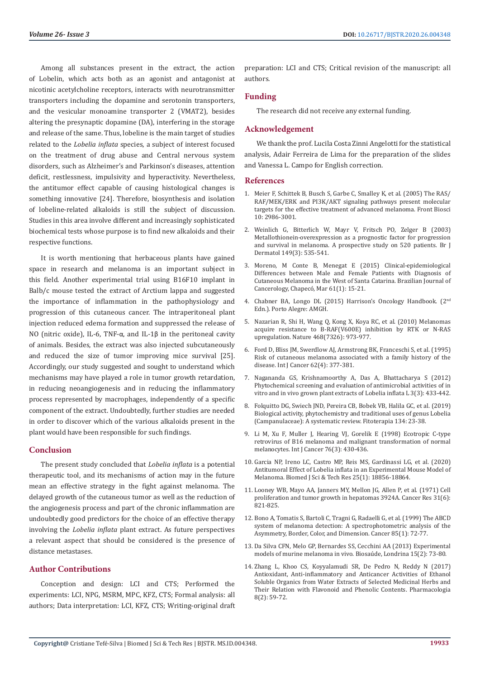Among all substances present in the extract, the action of Lobelin, which acts both as an agonist and antagonist at nicotinic acetylcholine receptors, interacts with neurotransmitter transporters including the dopamine and serotonin transporters, and the vesicular monoamine transporter 2 (VMAT2), besides altering the presynaptic dopamine (DA), interfering in the storage and release of the same. Thus, lobeline is the main target of studies related to the *Lobelia inflata* species, a subject of interest focused on the treatment of drug abuse and Central nervous system disorders, such as Alzheimer's and Parkinson's diseases, attention deficit, restlessness, impulsivity and hyperactivity. Nevertheless, the antitumor effect capable of causing histological changes is something innovative [24]. Therefore, biosynthesis and isolation of lobeline-related alkaloids is still the subject of discussion. Studies in this area involve different and increasingly sophisticated biochemical tests whose purpose is to find new alkaloids and their respective functions.

It is worth mentioning that herbaceous plants have gained space in research and melanoma is an important subject in this field. Another experimental trial using B16F10 implant in Balb/c mouse tested the extract of Arctium lappa and suggested the importance of inflammation in the pathophysiology and progression of this cutaneous cancer. The intraperitoneal plant injection reduced edema formation and suppressed the release of NO (nitric oxide), IL-6, TNF-α, and IL-1β in the peritoneal cavity of animals. Besides, the extract was also injected subcutaneously and reduced the size of tumor improving mice survival [25]. Accordingly, our study suggested and sought to understand which mechanisms may have played a role in tumor growth retardation, in reducing neoangiogenesis and in reducing the inflammatory process represented by macrophages, independently of a specific component of the extract. Undoubtedly, further studies are needed in order to discover which of the various alkaloids present in the plant would have been responsible for such findings.

# **Conclusion**

The present study concluded that *Lobelia inflata* is a potential therapeutic tool, and its mechanisms of action may in the future mean an effective strategy in the fight against melanoma. The delayed growth of the cutaneous tumor as well as the reduction of the angiogenesis process and part of the chronic inflammation are undoubtedly good predictors for the choice of an effective therapy involving the *Lobelia inflata* plant extract. As future perspectives a relevant aspect that should be considered is the presence of distance metastases.

# **Author Contributions**

Conception and design: LCI and CTS; Performed the experiments: LCI, NPG, MSRM, MPC, KFZ, CTS; Formal analysis: all authors; Data interpretation: LCI, KFZ, CTS; Writing-original draft preparation: LCI and CTS; Critical revision of the manuscript: all authors.

# **Funding**

The research did not receive any external funding.

# **Acknowledgement**

We thank the prof. Lucila Costa Zinni Angelotti for the statistical analysis, Adair Ferreira de Lima for the preparation of the slides and Vanessa L. Campo for English correction.

#### **References**

- 1. [Meier F, Schittek B, Busch S, Garbe C, Smalley K, et al. \(2005\) The RAS/](https://pubmed.ncbi.nlm.nih.gov/15970553-the-rasrafmekerk-and-pi3kakt-signaling-pathways-present-molecular-targets-for-the-effective-treatment-of-advanced-melanoma/) [RAF/MEK/ERK and PI3K/AKT signaling pathways present molecular](https://pubmed.ncbi.nlm.nih.gov/15970553-the-rasrafmekerk-and-pi3kakt-signaling-pathways-present-molecular-targets-for-the-effective-treatment-of-advanced-melanoma/) [targets for the effective treatment of advanced melanoma. Front Biosci](https://pubmed.ncbi.nlm.nih.gov/15970553-the-rasrafmekerk-and-pi3kakt-signaling-pathways-present-molecular-targets-for-the-effective-treatment-of-advanced-melanoma/) [10: 2986-3001.](https://pubmed.ncbi.nlm.nih.gov/15970553-the-rasrafmekerk-and-pi3kakt-signaling-pathways-present-molecular-targets-for-the-effective-treatment-of-advanced-melanoma/)
- 2. [Weinlich G, Bitterlich W, Mayr V, Fritsch PO, Zelger B \(2003\)](https://pubmed.ncbi.nlm.nih.gov/14510986-metallothionein-overexpression-as-a-prognostic-factor-for-progression-and-survival-in-melanoma-a-prospective-study-on-520-patients/) [Metallothionein-overexpression as a prognostic factor for progression](https://pubmed.ncbi.nlm.nih.gov/14510986-metallothionein-overexpression-as-a-prognostic-factor-for-progression-and-survival-in-melanoma-a-prospective-study-on-520-patients/) [and survival in melanoma. A prospective study on 520 patients. Br J](https://pubmed.ncbi.nlm.nih.gov/14510986-metallothionein-overexpression-as-a-prognostic-factor-for-progression-and-survival-in-melanoma-a-prospective-study-on-520-patients/) [Dermatol 149\(3\): 535-541.](https://pubmed.ncbi.nlm.nih.gov/14510986-metallothionein-overexpression-as-a-prognostic-factor-for-progression-and-survival-in-melanoma-a-prospective-study-on-520-patients/)
- 3. [Moreno, M Conte B, Menegat E \(2015\) Clinical-epidemiological](https://pesquisa.bvsalud.org/portal/resource/pt/biblio-833768?lang=en) [Differences between Male and Female Patients with Diagnosis of](https://pesquisa.bvsalud.org/portal/resource/pt/biblio-833768?lang=en) [Cutaneous Melanoma in the West of Santa Catarina. Brazilian Journal of](https://pesquisa.bvsalud.org/portal/resource/pt/biblio-833768?lang=en) [Cancerology, Chapecó, Mar 61\(1\): 15-21.](https://pesquisa.bvsalud.org/portal/resource/pt/biblio-833768?lang=en)
- 4. [Chabner BA, Longo DL \(2015\) Harrison's Oncology Handbook. \(2nd](https://hemonc.mhmedical.com/book.aspx?bookID=1799) [Edn.\). Porto Alegre: AMGH.](https://hemonc.mhmedical.com/book.aspx?bookID=1799)
- 5. [Nazarian R, Shi H, Wang Q, Kong X, Koya RC, et al. \(2010\) Melanomas](https://pubmed.ncbi.nlm.nih.gov/21107323-melanomas-acquire-resistance-to-b-rafv600e-inhibition-by-rtk-or-n-ras-upregulation/) [acquire resistance to B-RAF\(V600E\) inhibition by RTK or N-RAS](https://pubmed.ncbi.nlm.nih.gov/21107323-melanomas-acquire-resistance-to-b-rafv600e-inhibition-by-rtk-or-n-ras-upregulation/) [upregulation. Nature 468\(7326\): 973-977.](https://pubmed.ncbi.nlm.nih.gov/21107323-melanomas-acquire-resistance-to-b-rafv600e-inhibition-by-rtk-or-n-ras-upregulation/)
- 6. [Ford D, Bliss JM, Swerdlow AJ, Armstrong BK, Franceschi S, et al. \(1995\)](https://pubmed.ncbi.nlm.nih.gov/7635561-risk-of-cutaneous-melanoma-associated-with-a-family-history-of-the-disease-the-international-melanoma-analysis-group-image/) [Risk of cutaneous melanoma associated with a family history of the](https://pubmed.ncbi.nlm.nih.gov/7635561-risk-of-cutaneous-melanoma-associated-with-a-family-history-of-the-disease-the-international-melanoma-analysis-group-image/) [disease. Int J Cancer 62\(4\): 377-381.](https://pubmed.ncbi.nlm.nih.gov/7635561-risk-of-cutaneous-melanoma-associated-with-a-family-history-of-the-disease-the-international-melanoma-analysis-group-image/)
- 7. [Nagananda GS, Krishnamoorthy A, Das A, Bhattacharya S \(2012\)](https://www.researchgate.net/publication/227344383_Phytochemical_screening_and_evaluation_of_antimicrobial_activities_of_in_vitro_and_in_vivo_grown_plant_extracts_of_Lobelia_Inflata_L) [Phytochemical screening and evaluation of antimicrobial activities of in](https://www.researchgate.net/publication/227344383_Phytochemical_screening_and_evaluation_of_antimicrobial_activities_of_in_vitro_and_in_vivo_grown_plant_extracts_of_Lobelia_Inflata_L) [vitro and in vivo grown plant extracts of](https://www.researchgate.net/publication/227344383_Phytochemical_screening_and_evaluation_of_antimicrobial_activities_of_in_vitro_and_in_vivo_grown_plant_extracts_of_Lobelia_Inflata_L) Lobelia inflata L 3(3): 433-442.
- 8. [Folquitto DG, Swiech JND, Pereira CB, Bobek VB, Halila GC, et al. \(2019\)](https://pubmed.ncbi.nlm.nih.gov/30664918-biological-activity-phytochemistry-and-traditional-uses-of-genus-lobelia-campanulaceae-a-systematic-review/) [Biological activity, phytochemistry and traditional uses of genus Lobelia](https://pubmed.ncbi.nlm.nih.gov/30664918-biological-activity-phytochemistry-and-traditional-uses-of-genus-lobelia-campanulaceae-a-systematic-review/) [\(Campanulaceae\): A systematic review. Fitoterapia 134: 23-38.](https://pubmed.ncbi.nlm.nih.gov/30664918-biological-activity-phytochemistry-and-traditional-uses-of-genus-lobelia-campanulaceae-a-systematic-review/)
- 9. [Li M, Xu F, Muller J, Hearing VJ, Gorelik E \(1998\) Ecotropic C-type](https://pubmed.ncbi.nlm.nih.gov/9579583-ecotropic-c-type-retrovirus-of-b16-melanoma-and-malignant-transformation-of-normal-melanocytes/) [retrovirus of B16 melanoma and malignant transformation of normal](https://pubmed.ncbi.nlm.nih.gov/9579583-ecotropic-c-type-retrovirus-of-b16-melanoma-and-malignant-transformation-of-normal-melanocytes/) [melanocytes. Int J Cancer 76\(3\): 430-436.](https://pubmed.ncbi.nlm.nih.gov/9579583-ecotropic-c-type-retrovirus-of-b16-melanoma-and-malignant-transformation-of-normal-melanocytes/)
- 10. [Garcia NP, Ireno LC, Castro MP, Reis MS, Gardinassi LG, et al. \(2020\)](https://biomedres.us/pdfs/BJSTR.MS.ID.004154.pdf) Antitumoral Effect of Lobelia inflata [in an Experimental Mouse Model of](https://biomedres.us/pdfs/BJSTR.MS.ID.004154.pdf) [Melanoma. Biomed J Sci & Tech Res 25\(1\): 18856-18864.](https://biomedres.us/pdfs/BJSTR.MS.ID.004154.pdf)
- 11. [Looney WB, Mayo AA, Janners MY, Mellon JG, Allen P, et al. \(1971\) Cell](https://pubmed.ncbi.nlm.nih.gov/4326039-cell-proliferation-and-tumor-growth-in-hepatomas-3924a/) [proliferation and tumor growth in hepatomas 3924A. Cancer Res 31\(6\):](https://pubmed.ncbi.nlm.nih.gov/4326039-cell-proliferation-and-tumor-growth-in-hepatomas-3924a/) [821-825.](https://pubmed.ncbi.nlm.nih.gov/4326039-cell-proliferation-and-tumor-growth-in-hepatomas-3924a/)
- 12. [Bono A, Tomatis S, Bartoli C, Tragni G, Radaelli G, et al. \(1999\) The ABCD](https://pubmed.ncbi.nlm.nih.gov/9921976-the-abcd-system-of-melanoma-detection-a-spectrophotometric-analysis-of-the-asymmetry-border-color-and-dimension/) [system of melanoma detection: A spectrophotometric analysis of the](https://pubmed.ncbi.nlm.nih.gov/9921976-the-abcd-system-of-melanoma-detection-a-spectrophotometric-analysis-of-the-asymmetry-border-color-and-dimension/) [Asymmetry, Border, Color, and Dimension. Cancer 85\(1\): 72-77.](https://pubmed.ncbi.nlm.nih.gov/9921976-the-abcd-system-of-melanoma-detection-a-spectrophotometric-analysis-of-the-asymmetry-border-color-and-dimension/)
- 13. Da Silva CFN, Melo GP, Bernardes SS, Cecchini AA (2013) Experimental models of murine melanoma in vivo. Biosaúde, Londrina 15(2): 73-80.
- 14. [Zhang L, Khoo CS, Koyyalamudi SR, De Pedro N, Reddy N \(2017\)](https://scialert.net/abstract/?doi=pharmacologia.2017.59.72) [Antioxidant, Anti-inflammatory and Anticancer Activities of Ethanol](https://scialert.net/abstract/?doi=pharmacologia.2017.59.72) [Soluble Organics from Water Extracts of Selected Medicinal Herbs and](https://scialert.net/abstract/?doi=pharmacologia.2017.59.72) [Their Relation with Flavonoid and Phenolic Contents. Pharmacologia](https://scialert.net/abstract/?doi=pharmacologia.2017.59.72) [8\(2\): 59-72.](https://scialert.net/abstract/?doi=pharmacologia.2017.59.72)